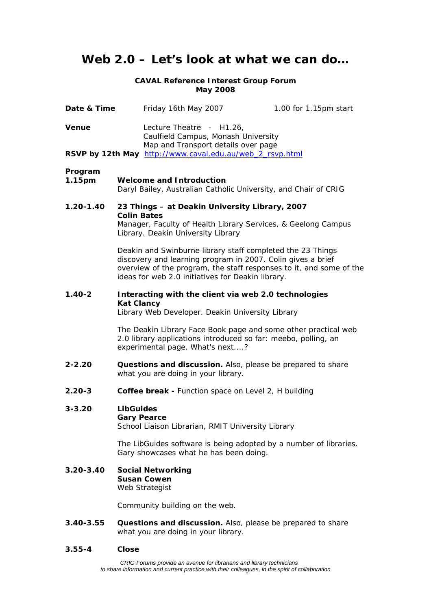# **Web 2.0 – Let's look at what we can do…**

# **CAVAL Reference Interest Group Forum May 2008**

| Date & Time   |                                                                                                                                                                                                                                                       | Friday 16th May 2007                                                                                                                                                | 1.00 for 1.15pm start |  |
|---------------|-------------------------------------------------------------------------------------------------------------------------------------------------------------------------------------------------------------------------------------------------------|---------------------------------------------------------------------------------------------------------------------------------------------------------------------|-----------------------|--|
| <b>Venue</b>  |                                                                                                                                                                                                                                                       | Lecture Theatre - H1.26,<br>Caulfield Campus, Monash University<br>Map and Transport details over page<br>RSVP by 12th May http://www.caval.edu.au/web_2_rsvp.html  |                       |  |
| Program       |                                                                                                                                                                                                                                                       |                                                                                                                                                                     |                       |  |
| 1.15pm        | <b>Welcome and Introduction</b><br>Daryl Bailey, Australian Catholic University, and Chair of CRIG                                                                                                                                                    |                                                                                                                                                                     |                       |  |
| $1.20 - 1.40$ |                                                                                                                                                                                                                                                       | 23 Things - at Deakin University Library, 2007                                                                                                                      |                       |  |
|               | <b>Colin Bates</b><br>Manager, Faculty of Health Library Services, & Geelong Campus<br>Library. Deakin University Library                                                                                                                             |                                                                                                                                                                     |                       |  |
|               | Deakin and Swinburne library staff completed the 23 Things<br>discovery and learning program in 2007. Colin gives a brief<br>overview of the program, the staff responses to it, and some of the<br>ideas for web 2.0 initiatives for Deakin library. |                                                                                                                                                                     |                       |  |
| $1.40 - 2$    | Interacting with the client via web 2.0 technologies                                                                                                                                                                                                  |                                                                                                                                                                     |                       |  |
|               | <b>Kat Clancy</b>                                                                                                                                                                                                                                     | Library Web Developer. Deakin University Library                                                                                                                    |                       |  |
|               |                                                                                                                                                                                                                                                       | The Deakin Library Face Book page and some other practical web<br>2.0 library applications introduced so far: meebo, polling, an<br>experimental page. What's next? |                       |  |
| $2 - 2.20$    | Questions and discussion. Also, please be prepared to share<br>what you are doing in your library.                                                                                                                                                    |                                                                                                                                                                     |                       |  |
| $2.20 - 3$    |                                                                                                                                                                                                                                                       | Coffee break - Function space on Level 2, H building                                                                                                                |                       |  |
| $3 - 3.20$    | <b>LibGuides</b><br><b>Gary Pearce</b>                                                                                                                                                                                                                | School Liaison Librarian, RMIT University Library                                                                                                                   |                       |  |
|               |                                                                                                                                                                                                                                                       | The LibGuides software is being adopted by a number of libraries.<br>Gary showcases what he has been doing.                                                         |                       |  |
| $3.20 - 3.40$ |                                                                                                                                                                                                                                                       | <b>Social Networking</b><br><b>Susan Cowen</b><br>Web Strategist                                                                                                    |                       |  |
|               |                                                                                                                                                                                                                                                       | Community building on the web.                                                                                                                                      |                       |  |
|               |                                                                                                                                                                                                                                                       |                                                                                                                                                                     |                       |  |

**3.40-3.55 Questions and discussion.** Also, please be prepared to share what you are doing in your library.

# **3.55-4 Close**